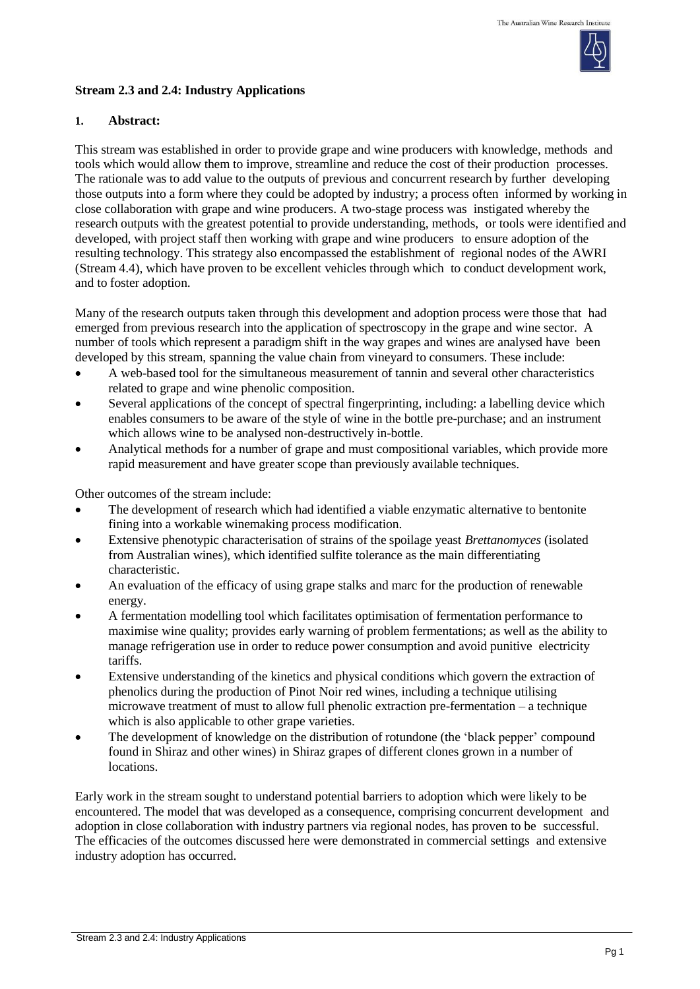

### **Stream 2.3 and 2.4: Industry Applications**

### **1. Abstract:**

This stream was established in order to provide grape and wine producers with knowledge, methods and tools which would allow them to improve, streamline and reduce the cost of their production processes. The rationale was to add value to the outputs of previous and concurrent research by further developing those outputs into a form where they could be adopted by industry; a process often informed by working in close collaboration with grape and wine producers. A two-stage process was instigated whereby the research outputs with the greatest potential to provide understanding, methods, or tools were identified and developed, with project staff then working with grape and wine producers to ensure adoption of the resulting technology. This strategy also encompassed the establishment of regional nodes of the AWRI (Stream 4.4), which have proven to be excellent vehicles through which to conduct development work, and to foster adoption.

Many of the research outputs taken through this development and adoption process were those that had emerged from previous research into the application of spectroscopy in the grape and wine sector. A number of tools which represent a paradigm shift in the way grapes and wines are analysed have been developed by this stream, spanning the value chain from vineyard to consumers. These include:

- A web-based tool for the simultaneous measurement of tannin and several other characteristics related to grape and wine phenolic composition.
- Several applications of the concept of spectral fingerprinting, including: a labelling device which enables consumers to be aware of the style of wine in the bottle pre-purchase; and an instrument which allows wine to be analysed non-destructively in-bottle.
- Analytical methods for a number of grape and must compositional variables, which provide more rapid measurement and have greater scope than previously available techniques.

Other outcomes of the stream include:

- The development of research which had identified a viable enzymatic alternative to bentonite fining into a workable winemaking process modification.
- Extensive phenotypic characterisation of strains of the spoilage yeast *Brettanomyces* (isolated from Australian wines), which identified sulfite tolerance as the main differentiating characteristic.
- An evaluation of the efficacy of using grape stalks and marc for the production of renewable energy.
- A fermentation modelling tool which facilitates optimisation of fermentation performance to maximise wine quality; provides early warning of problem fermentations; as well as the ability to manage refrigeration use in order to reduce power consumption and avoid punitive electricity tariffs.
- Extensive understanding of the kinetics and physical conditions which govern the extraction of phenolics during the production of Pinot Noir red wines, including a technique utilising microwave treatment of must to allow full phenolic extraction pre-fermentation – a technique which is also applicable to other grape varieties.
- The development of knowledge on the distribution of rotundone (the 'black pepper' compound found in Shiraz and other wines) in Shiraz grapes of different clones grown in a number of locations.

Early work in the stream sought to understand potential barriers to adoption which were likely to be encountered. The model that was developed as a consequence, comprising concurrent development and adoption in close collaboration with industry partners via regional nodes, has proven to be successful. The efficacies of the outcomes discussed here were demonstrated in commercial settings and extensive industry adoption has occurred.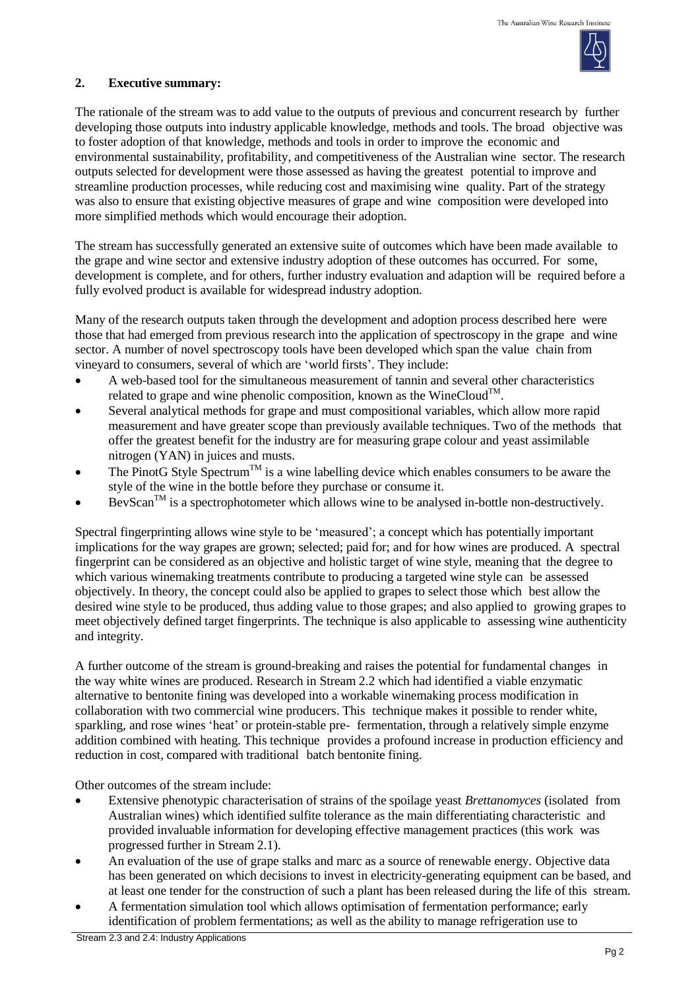

#### **2. Executive summary:**

The rationale of the stream was to add value to the outputs of previous and concurrent research by further developing those outputs into industry applicable knowledge, methods and tools. The broad objective was to foster adoption of that knowledge, methods and tools in order to improve the economic and environmental sustainability, profitability, and competitiveness of the Australian wine sector. The research outputs selected for development were those assessed as having the greatest potential to improve and streamline production processes, while reducing cost and maximising wine quality. Part of the strategy was also to ensure that existing objective measures of grape and wine composition were developed into more simplified methods which would encourage their adoption.

The stream has successfully generated an extensive suite of outcomes which have been made available to the grape and wine sector and extensive industry adoption of these outcomes has occurred. For some, development is complete, and for others, further industry evaluation and adaption will be required before a fully evolved product is available for widespread industry adoption.

Many of the research outputs taken through the development and adoption process described here were those that had emerged from previous research into the application of spectroscopy in the grape and wine sector. A number of novel spectroscopy tools have been developed which span the value chain from vineyard to consumers, several of which are 'world firsts'. They include:

- A web-based tool for the simultaneous measurement of tannin and several other characteristics related to grape and wine phenolic composition, known as the WineCloud<sup>TM</sup>.
- Several analytical methods for grape and must compositional variables, which allow more rapid measurement and have greater scope than previously available techniques. Two of the methods that offer the greatest benefit for the industry are for measuring grape colour and yeast assimilable nitrogen (YAN) in juices and musts.
- The PinotG Style Spectrum<sup>TM</sup> is a wine labelling device which enables consumers to be aware the style of the wine in the bottle before they purchase or consume it.
- $BevScan^{TM}$  is a spectrophotometer which allows wine to be analysed in-bottle non-destructively.

Spectral fingerprinting allows wine style to be 'measured'; a concept which has potentially important implications for the way grapes are grown; selected; paid for; and for how wines are produced. A spectral fingerprint can be considered as an objective and holistic target of wine style, meaning that the degree to which various winemaking treatments contribute to producing a targeted wine style can be assessed objectively. In theory, the concept could also be applied to grapes to select those which best allow the desired wine style to be produced, thus adding value to those grapes; and also applied to growing grapes to meet objectively defined target fingerprints. The technique is also applicable to assessing wine authenticity and integrity.

A further outcome of the stream is ground-breaking and raises the potential for fundamental changes in the way white wines are produced. Research in Stream 2.2 which had identified a viable enzymatic alternative to bentonite fining was developed into a workable winemaking process modification in collaboration with two commercial wine producers. This technique makes it possible to render white, sparkling, and rose wines 'heat' or protein-stable pre- fermentation, through a relatively simple enzyme addition combined with heating. This technique provides a profound increase in production efficiency and reduction in cost, compared with traditional batch bentonite fining.

Other outcomes of the stream include:

- Extensive phenotypic characterisation of strains of the spoilage yeast *Brettanomyces* (isolated from Australian wines) which identified sulfite tolerance as the main differentiating characteristic and provided invaluable information for developing effective management practices (this work was progressed further in Stream 2.1).
- An evaluation of the use of grape stalks and marc as a source of renewable energy. Objective data has been generated on which decisions to invest in electricity-generating equipment can be based, and at least one tender for the construction of such a plant has been released during the life of this stream.
- A fermentation simulation tool which allows optimisation of fermentation performance; early identification of problem fermentations; as well as the ability to manage refrigeration use to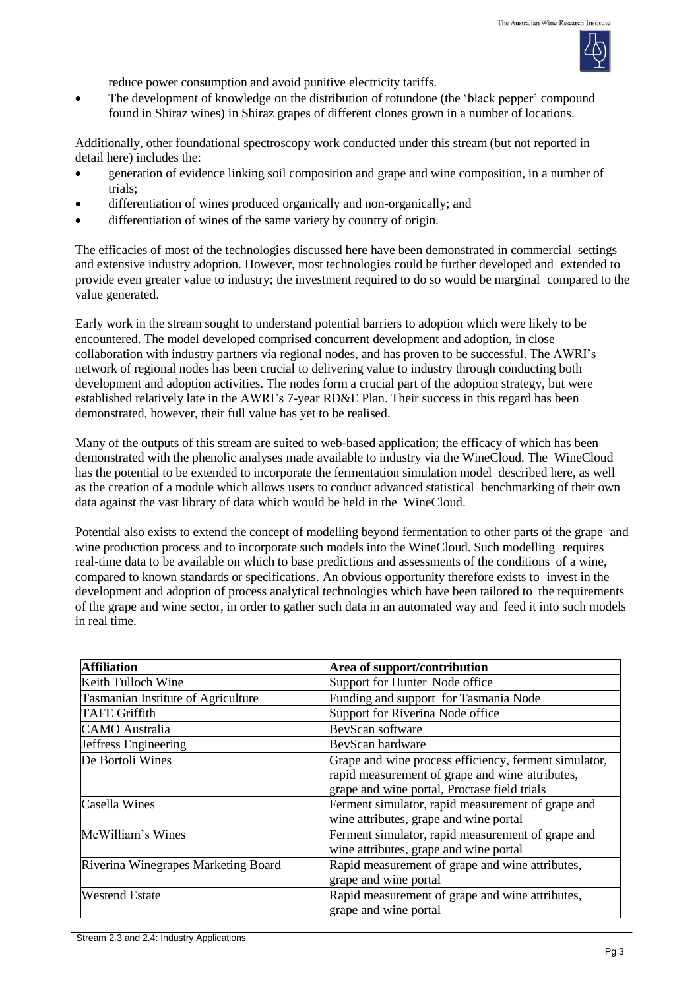

reduce power consumption and avoid punitive electricity tariffs.

 The development of knowledge on the distribution of rotundone (the 'black pepper' compound found in Shiraz wines) in Shiraz grapes of different clones grown in a number of locations.

Additionally, other foundational spectroscopy work conducted under this stream (but not reported in detail here) includes the:

- generation of evidence linking soil composition and grape and wine composition, in a number of trials;
- differentiation of wines produced organically and non-organically; and
- differentiation of wines of the same variety by country of origin.

The efficacies of most of the technologies discussed here have been demonstrated in commercial settings and extensive industry adoption. However, most technologies could be further developed and extended to provide even greater value to industry; the investment required to do so would be marginal compared to the value generated.

Early work in the stream sought to understand potential barriers to adoption which were likely to be encountered. The model developed comprised concurrent development and adoption, in close collaboration with industry partners via regional nodes, and has proven to be successful. The AWRI's network of regional nodes has been crucial to delivering value to industry through conducting both development and adoption activities. The nodes form a crucial part of the adoption strategy, but were established relatively late in the AWRI's 7-year RD&E Plan. Their success in this regard has been demonstrated, however, their full value has yet to be realised.

Many of the outputs of this stream are suited to web-based application; the efficacy of which has been demonstrated with the phenolic analyses made available to industry via the WineCloud. The WineCloud has the potential to be extended to incorporate the fermentation simulation model described here, as well as the creation of a module which allows users to conduct advanced statistical benchmarking of their own data against the vast library of data which would be held in the WineCloud.

Potential also exists to extend the concept of modelling beyond fermentation to other parts of the grape and wine production process and to incorporate such models into the WineCloud. Such modelling requires real-time data to be available on which to base predictions and assessments of the conditions of a wine, compared to known standards or specifications. An obvious opportunity therefore exists to invest in the development and adoption of process analytical technologies which have been tailored to the requirements of the grape and wine sector, in order to gather such data in an automated way and feed it into such models in real time.

| <b>Affiliation</b>                        | Area of support/contribution                          |  |
|-------------------------------------------|-------------------------------------------------------|--|
| Keith Tulloch Wine                        | Support for Hunter Node office                        |  |
| <b>Tasmanian Institute of Agriculture</b> | Funding and support for Tasmania Node                 |  |
| <b>TAFE Griffith</b>                      | Support for Riverina Node office                      |  |
| <b>CAMO</b> Australia                     | BevScan software                                      |  |
| Jeffress Engineering                      | BevScan hardware                                      |  |
| De Bortoli Wines                          | Grape and wine process efficiency, ferment simulator, |  |
|                                           | rapid measurement of grape and wine attributes,       |  |
|                                           | grape and wine portal, Proctase field trials          |  |
| Casella Wines                             | Ferment simulator, rapid measurement of grape and     |  |
|                                           | wine attributes, grape and wine portal                |  |
| McWilliam's Wines                         | Ferment simulator, rapid measurement of grape and     |  |
|                                           | wine attributes, grape and wine portal                |  |
| Riverina Winegrapes Marketing Board       | Rapid measurement of grape and wine attributes,       |  |
|                                           | grape and wine portal                                 |  |
| <b>Westend Estate</b>                     | Rapid measurement of grape and wine attributes,       |  |
|                                           | grape and wine portal                                 |  |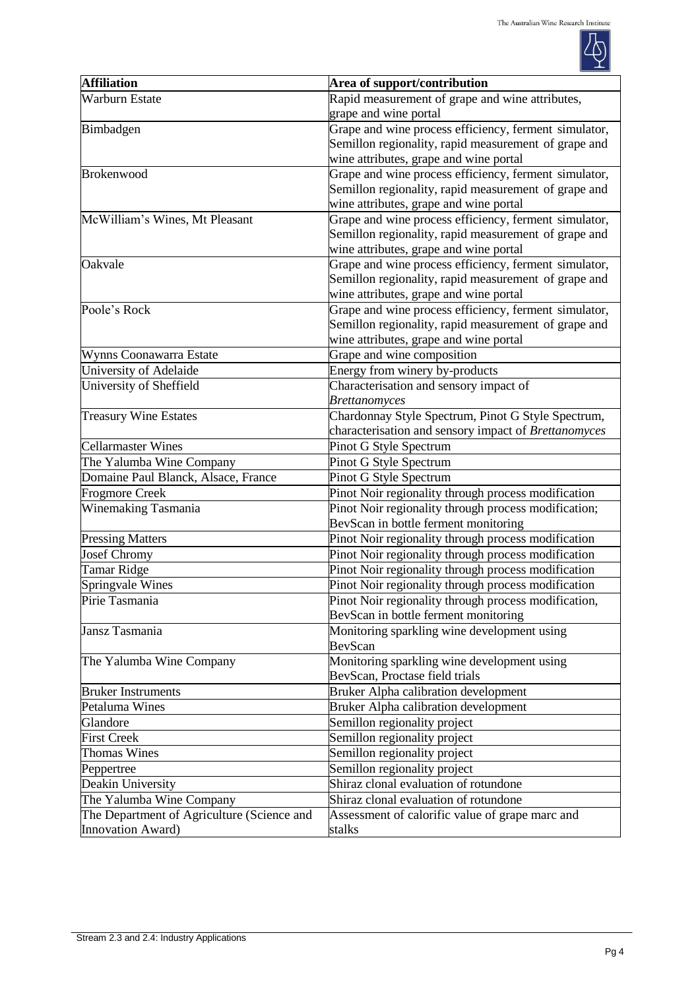

| <b>Affiliation</b>                         | Area of support/contribution                          |  |
|--------------------------------------------|-------------------------------------------------------|--|
| <b>Warburn Estate</b>                      | Rapid measurement of grape and wine attributes,       |  |
|                                            | grape and wine portal                                 |  |
| Bimbadgen                                  | Grape and wine process efficiency, ferment simulator, |  |
|                                            | Semillon regionality, rapid measurement of grape and  |  |
|                                            | wine attributes, grape and wine portal                |  |
| <b>Brokenwood</b>                          | Grape and wine process efficiency, ferment simulator, |  |
|                                            | Semillon regionality, rapid measurement of grape and  |  |
|                                            | wine attributes, grape and wine portal                |  |
| McWilliam's Wines, Mt Pleasant             | Grape and wine process efficiency, ferment simulator, |  |
|                                            | Semillon regionality, rapid measurement of grape and  |  |
|                                            | wine attributes, grape and wine portal                |  |
| Oakvale                                    | Grape and wine process efficiency, ferment simulator, |  |
|                                            | Semillon regionality, rapid measurement of grape and  |  |
|                                            | wine attributes, grape and wine portal                |  |
| Poole's Rock                               | Grape and wine process efficiency, ferment simulator, |  |
|                                            | Semillon regionality, rapid measurement of grape and  |  |
|                                            | wine attributes, grape and wine portal                |  |
| Wynns Coonawarra Estate                    | Grape and wine composition                            |  |
| University of Adelaide                     | Energy from winery by-products                        |  |
| University of Sheffield                    | Characterisation and sensory impact of                |  |
|                                            | <b>Brettanomyces</b>                                  |  |
| <b>Treasury Wine Estates</b>               | Chardonnay Style Spectrum, Pinot G Style Spectrum,    |  |
|                                            | characterisation and sensory impact of Brettanomyces  |  |
| <b>Cellarmaster Wines</b>                  | Pinot G Style Spectrum                                |  |
| The Yalumba Wine Company                   | Pinot G Style Spectrum                                |  |
| Domaine Paul Blanck, Alsace, France        | Pinot G Style Spectrum                                |  |
| <b>Frogmore Creek</b>                      | Pinot Noir regionality through process modification   |  |
| Winemaking Tasmania                        | Pinot Noir regionality through process modification;  |  |
|                                            | BevScan in bottle ferment monitoring                  |  |
| <b>Pressing Matters</b>                    | Pinot Noir regionality through process modification   |  |
| <b>Josef Chromy</b>                        | Pinot Noir regionality through process modification   |  |
| <b>Tamar Ridge</b>                         | Pinot Noir regionality through process modification   |  |
| Springvale Wines                           | Pinot Noir regionality through process modification   |  |
| Pirie Tasmania                             | Pinot Noir regionality through process modification,  |  |
|                                            | BevScan in bottle ferment monitoring                  |  |
| Jansz Tasmania                             | Monitoring sparkling wine development using           |  |
|                                            | BevScan                                               |  |
| The Yalumba Wine Company                   | Monitoring sparkling wine development using           |  |
|                                            | BevScan, Proctase field trials                        |  |
| <b>Bruker Instruments</b>                  | <b>Bruker Alpha calibration development</b>           |  |
| Petaluma Wines                             | <b>Bruker Alpha calibration development</b>           |  |
| Glandore                                   | Semillon regionality project                          |  |
| <b>First Creek</b>                         | Semillon regionality project                          |  |
| <b>Thomas Wines</b>                        | Semillon regionality project                          |  |
| Peppertree                                 | Semillon regionality project                          |  |
| Deakin University                          | Shiraz clonal evaluation of rotundone                 |  |
| The Yalumba Wine Company                   | Shiraz clonal evaluation of rotundone                 |  |
| The Department of Agriculture (Science and | Assessment of calorific value of grape marc and       |  |
| <b>Innovation Award)</b>                   | stalks                                                |  |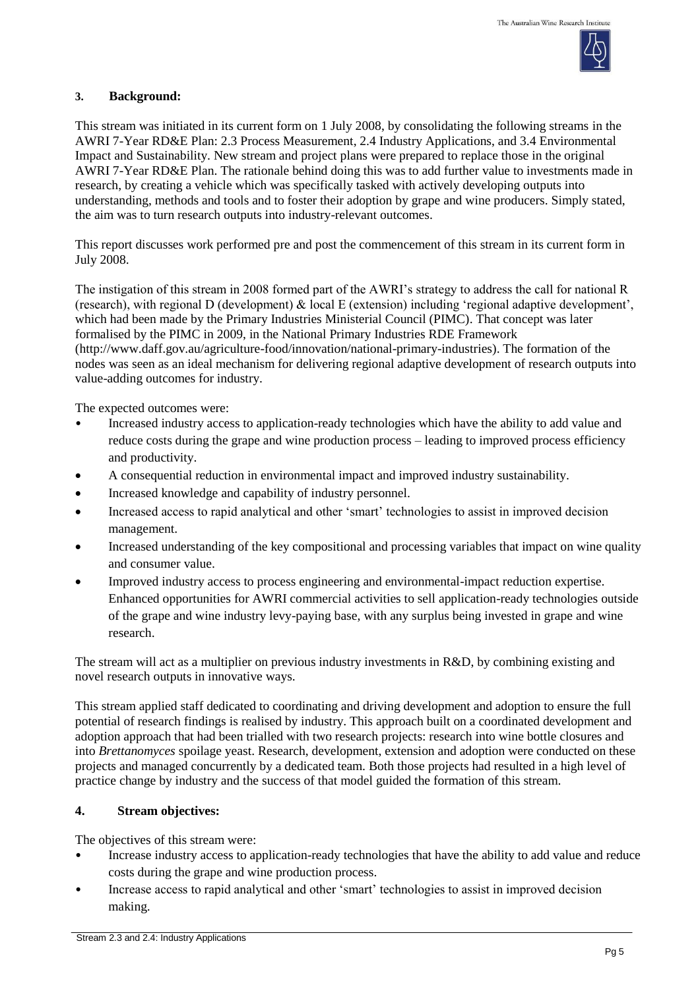

### **3. Background:**

This stream was initiated in its current form on 1 July 2008, by consolidating the following streams in the AWRI 7-Year RD&E Plan: 2.3 Process Measurement, 2.4 Industry Applications, and 3.4 Environmental Impact and Sustainability. New stream and project plans were prepared to replace those in the original AWRI 7-Year RD&E Plan. The rationale behind doing this was to add further value to investments made in research, by creating a vehicle which was specifically tasked with actively developing outputs into understanding, methods and tools and to foster their adoption by grape and wine producers. Simply stated, the aim was to turn research outputs into industry-relevant outcomes.

This report discusses work performed pre and post the commencement of this stream in its current form in July 2008.

The instigation of this stream in 2008 formed part of the AWRI's strategy to address the call for national R (research), with regional D (development) & local E (extension) including 'regional adaptive development', which had been made by the Primary Industries Ministerial Council (PIMC). That concept was later formalised by the PIMC in 2009, in the National Primary Industries RDE Framework (http://www.daff.gov.au/agriculture-food/innovation/national-primary-industries). The formation of the nodes was seen as an ideal mechanism for delivering regional adaptive development of research outputs into value-adding outcomes for industry.

The expected outcomes were:

- Increased industry access to application-ready technologies which have the ability to add value and reduce costs during the grape and wine production process – leading to improved process efficiency and productivity.
- A consequential reduction in environmental impact and improved industry sustainability.
- Increased knowledge and capability of industry personnel.
- Increased access to rapid analytical and other 'smart' technologies to assist in improved decision management.
- Increased understanding of the key compositional and processing variables that impact on wine quality and consumer value.
- Improved industry access to process engineering and environmental-impact reduction expertise. Enhanced opportunities for AWRI commercial activities to sell application-ready technologies outside of the grape and wine industry levy-paying base, with any surplus being invested in grape and wine research.

The stream will act as a multiplier on previous industry investments in R&D, by combining existing and novel research outputs in innovative ways.

This stream applied staff dedicated to coordinating and driving development and adoption to ensure the full potential of research findings is realised by industry. This approach built on a coordinated development and adoption approach that had been trialled with two research projects: research into wine bottle closures and into *Brettanomyces* spoilage yeast. Research, development, extension and adoption were conducted on these projects and managed concurrently by a dedicated team. Both those projects had resulted in a high level of practice change by industry and the success of that model guided the formation of this stream.

## **4. Stream objectives:**

The objectives of this stream were:

- Increase industry access to application-ready technologies that have the ability to add value and reduce costs during the grape and wine production process.
- Increase access to rapid analytical and other 'smart' technologies to assist in improved decision making.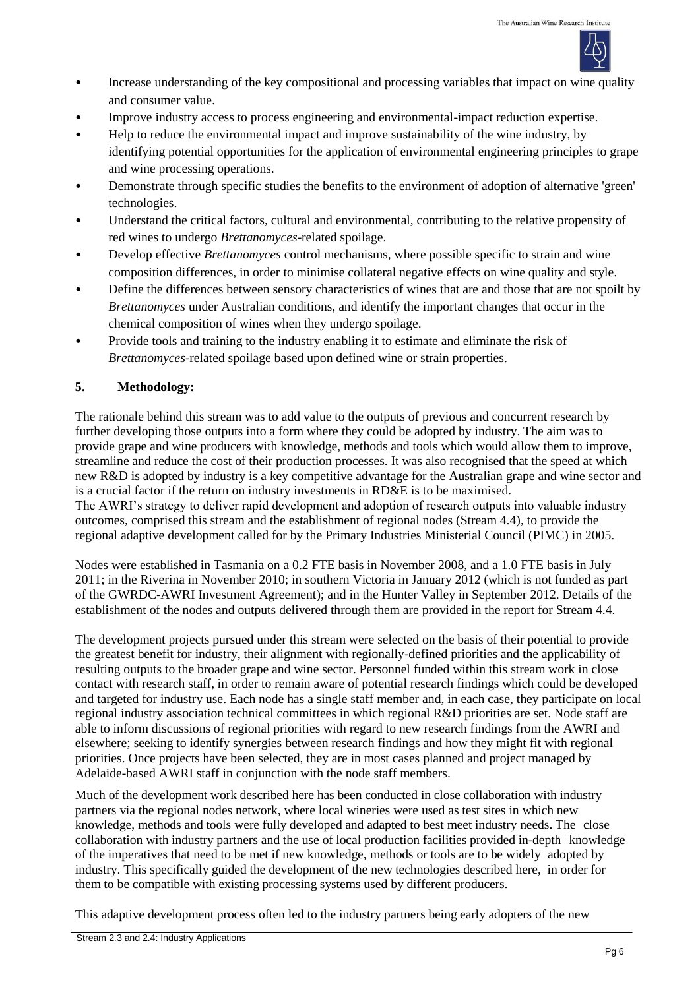

- Increase understanding of the key compositional and processing variables that impact on wine quality and consumer value.
- Improve industry access to process engineering and environmental-impact reduction expertise.
- Help to reduce the environmental impact and improve sustainability of the wine industry, by identifying potential opportunities for the application of environmental engineering principles to grape and wine processing operations.
- Demonstrate through specific studies the benefits to the environment of adoption of alternative 'green' technologies.
- Understand the critical factors, cultural and environmental, contributing to the relative propensity of red wines to undergo *Brettanomyces*-related spoilage.
- Develop effective *Brettanomyces* control mechanisms, where possible specific to strain and wine composition differences, in order to minimise collateral negative effects on wine quality and style.
- Define the differences between sensory characteristics of wines that are and those that are not spoilt by *Brettanomyces* under Australian conditions, and identify the important changes that occur in the chemical composition of wines when they undergo spoilage.
- Provide tools and training to the industry enabling it to estimate and eliminate the risk of *Brettanomyces*-related spoilage based upon defined wine or strain properties.

## **5. Methodology:**

The rationale behind this stream was to add value to the outputs of previous and concurrent research by further developing those outputs into a form where they could be adopted by industry. The aim was to provide grape and wine producers with knowledge, methods and tools which would allow them to improve, streamline and reduce the cost of their production processes. It was also recognised that the speed at which new R&D is adopted by industry is a key competitive advantage for the Australian grape and wine sector and is a crucial factor if the return on industry investments in RD&E is to be maximised. The AWRI's strategy to deliver rapid development and adoption of research outputs into valuable industry outcomes, comprised this stream and the establishment of regional nodes (Stream 4.4), to provide the regional adaptive development called for by the Primary Industries Ministerial Council (PIMC) in 2005.

Nodes were established in Tasmania on a 0.2 FTE basis in November 2008, and a 1.0 FTE basis in July 2011; in the Riverina in November 2010; in southern Victoria in January 2012 (which is not funded as part of the GWRDC-AWRI Investment Agreement); and in the Hunter Valley in September 2012. Details of the establishment of the nodes and outputs delivered through them are provided in the report for Stream 4.4.

The development projects pursued under this stream were selected on the basis of their potential to provide the greatest benefit for industry, their alignment with regionally-defined priorities and the applicability of resulting outputs to the broader grape and wine sector. Personnel funded within this stream work in close contact with research staff, in order to remain aware of potential research findings which could be developed and targeted for industry use. Each node has a single staff member and, in each case, they participate on local regional industry association technical committees in which regional R&D priorities are set. Node staff are able to inform discussions of regional priorities with regard to new research findings from the AWRI and elsewhere; seeking to identify synergies between research findings and how they might fit with regional priorities. Once projects have been selected, they are in most cases planned and project managed by Adelaide-based AWRI staff in conjunction with the node staff members.

Much of the development work described here has been conducted in close collaboration with industry partners via the regional nodes network, where local wineries were used as test sites in which new knowledge, methods and tools were fully developed and adapted to best meet industry needs. The close collaboration with industry partners and the use of local production facilities provided in-depth knowledge of the imperatives that need to be met if new knowledge, methods or tools are to be widely adopted by industry. This specifically guided the development of the new technologies described here, in order for them to be compatible with existing processing systems used by different producers.

This adaptive development process often led to the industry partners being early adopters of the new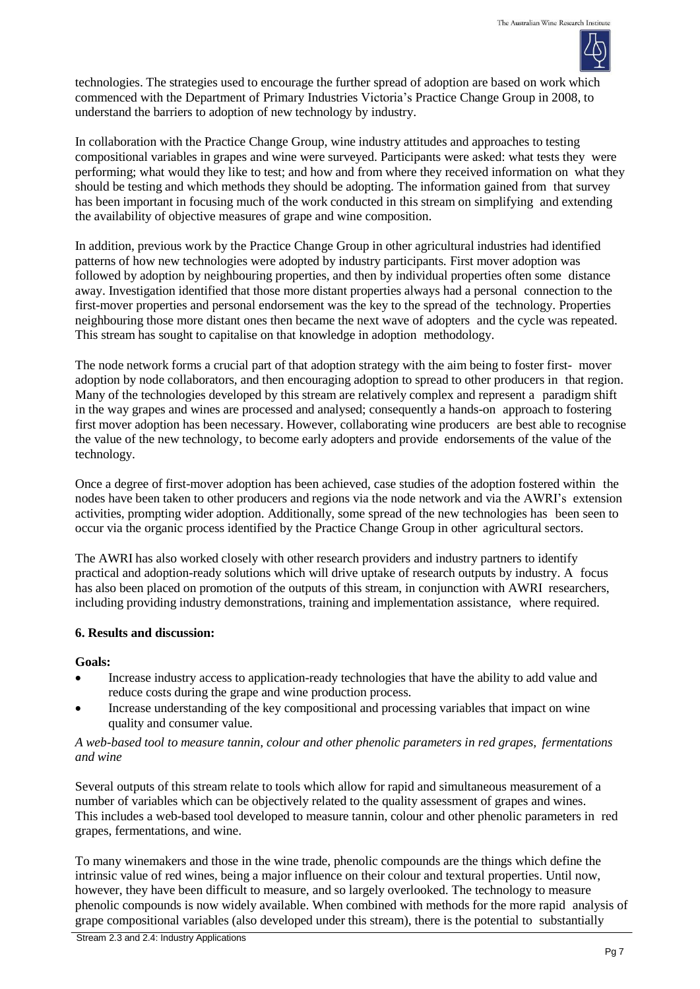

technologies. The strategies used to encourage the further spread of adoption are based on work which commenced with the Department of Primary Industries Victoria's Practice Change Group in 2008, to understand the barriers to adoption of new technology by industry.

In collaboration with the Practice Change Group, wine industry attitudes and approaches to testing compositional variables in grapes and wine were surveyed. Participants were asked: what tests they were performing; what would they like to test; and how and from where they received information on what they should be testing and which methods they should be adopting. The information gained from that survey has been important in focusing much of the work conducted in this stream on simplifying and extending the availability of objective measures of grape and wine composition.

In addition, previous work by the Practice Change Group in other agricultural industries had identified patterns of how new technologies were adopted by industry participants. First mover adoption was followed by adoption by neighbouring properties, and then by individual properties often some distance away. Investigation identified that those more distant properties always had a personal connection to the first-mover properties and personal endorsement was the key to the spread of the technology. Properties neighbouring those more distant ones then became the next wave of adopters and the cycle was repeated. This stream has sought to capitalise on that knowledge in adoption methodology.

The node network forms a crucial part of that adoption strategy with the aim being to foster first- mover adoption by node collaborators, and then encouraging adoption to spread to other producers in that region. Many of the technologies developed by this stream are relatively complex and represent a paradigm shift in the way grapes and wines are processed and analysed; consequently a hands-on approach to fostering first mover adoption has been necessary. However, collaborating wine producers are best able to recognise the value of the new technology, to become early adopters and provide endorsements of the value of the technology.

Once a degree of first-mover adoption has been achieved, case studies of the adoption fostered within the nodes have been taken to other producers and regions via the node network and via the AWRI's extension activities, prompting wider adoption. Additionally, some spread of the new technologies has been seen to occur via the organic process identified by the Practice Change Group in other agricultural sectors.

The AWRI has also worked closely with other research providers and industry partners to identify practical and adoption-ready solutions which will drive uptake of research outputs by industry. A focus has also been placed on promotion of the outputs of this stream, in conjunction with AWRI researchers, including providing industry demonstrations, training and implementation assistance, where required.

## **6. Results and discussion:**

## **Goals:**

- Increase industry access to application-ready technologies that have the ability to add value and reduce costs during the grape and wine production process.
- Increase understanding of the key compositional and processing variables that impact on wine quality and consumer value.

### *A web-based tool to measure tannin, colour and other phenolic parameters in red grapes, fermentations and wine*

Several outputs of this stream relate to tools which allow for rapid and simultaneous measurement of a number of variables which can be objectively related to the quality assessment of grapes and wines. This includes a web-based tool developed to measure tannin, colour and other phenolic parameters in red grapes, fermentations, and wine.

To many winemakers and those in the wine trade, phenolic compounds are the things which define the intrinsic value of red wines, being a major influence on their colour and textural properties. Until now, however, they have been difficult to measure, and so largely overlooked. The technology to measure phenolic compounds is now widely available. When combined with methods for the more rapid analysis of grape compositional variables (also developed under this stream), there is the potential to substantially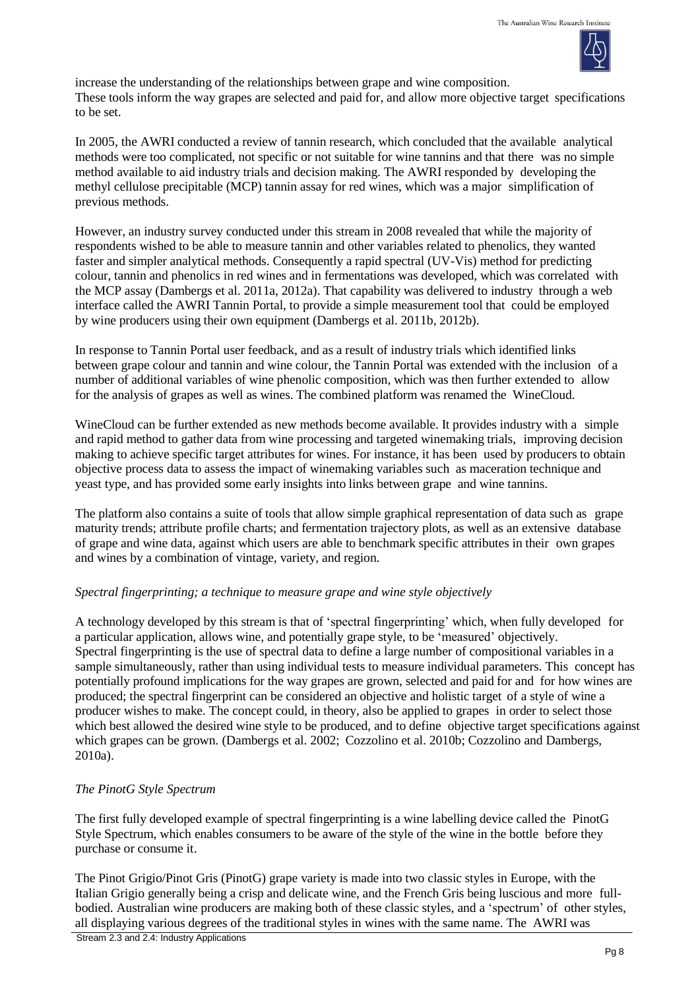

increase the understanding of the relationships between grape and wine composition. These tools inform the way grapes are selected and paid for, and allow more objective target specifications to be set.

In 2005, the AWRI conducted a review of tannin research, which concluded that the available analytical methods were too complicated, not specific or not suitable for wine tannins and that there was no simple method available to aid industry trials and decision making. The AWRI responded by developing the methyl cellulose precipitable (MCP) tannin assay for red wines, which was a major simplification of previous methods.

However, an industry survey conducted under this stream in 2008 revealed that while the majority of respondents wished to be able to measure tannin and other variables related to phenolics, they wanted faster and simpler analytical methods. Consequently a rapid spectral (UV-Vis) method for predicting colour, tannin and phenolics in red wines and in fermentations was developed, which was correlated with the MCP assay (Dambergs et al. 2011a, 2012a). That capability was delivered to industry through a web interface called the AWRI Tannin Portal, to provide a simple measurement tool that could be employed by wine producers using their own equipment (Dambergs et al. 2011b, 2012b).

In response to Tannin Portal user feedback, and as a result of industry trials which identified links between grape colour and tannin and wine colour, the Tannin Portal was extended with the inclusion of a number of additional variables of wine phenolic composition, which was then further extended to allow for the analysis of grapes as well as wines. The combined platform was renamed the WineCloud.

WineCloud can be further extended as new methods become available. It provides industry with a simple and rapid method to gather data from wine processing and targeted winemaking trials, improving decision making to achieve specific target attributes for wines. For instance, it has been used by producers to obtain objective process data to assess the impact of winemaking variables such as maceration technique and yeast type, and has provided some early insights into links between grape and wine tannins.

The platform also contains a suite of tools that allow simple graphical representation of data such as grape maturity trends; attribute profile charts; and fermentation trajectory plots, as well as an extensive database of grape and wine data, against which users are able to benchmark specific attributes in their own grapes and wines by a combination of vintage, variety, and region.

## *Spectral fingerprinting; a technique to measure grape and wine style objectively*

A technology developed by this stream is that of 'spectral fingerprinting' which, when fully developed for a particular application, allows wine, and potentially grape style, to be 'measured' objectively. Spectral fingerprinting is the use of spectral data to define a large number of compositional variables in a sample simultaneously, rather than using individual tests to measure individual parameters. This concept has potentially profound implications for the way grapes are grown, selected and paid for and for how wines are produced; the spectral fingerprint can be considered an objective and holistic target of a style of wine a producer wishes to make. The concept could, in theory, also be applied to grapes in order to select those which best allowed the desired wine style to be produced, and to define objective target specifications against which grapes can be grown. (Dambergs et al. 2002; Cozzolino et al. 2010b; Cozzolino and Dambergs, 2010a).

## *The PinotG Style Spectrum*

The first fully developed example of spectral fingerprinting is a wine labelling device called the PinotG Style Spectrum, which enables consumers to be aware of the style of the wine in the bottle before they purchase or consume it.

The Pinot Grigio/Pinot Gris (PinotG) grape variety is made into two classic styles in Europe, with the Italian Grigio generally being a crisp and delicate wine, and the French Gris being luscious and more fullbodied. Australian wine producers are making both of these classic styles, and a 'spectrum' of other styles, all displaying various degrees of the traditional styles in wines with the same name. The AWRI was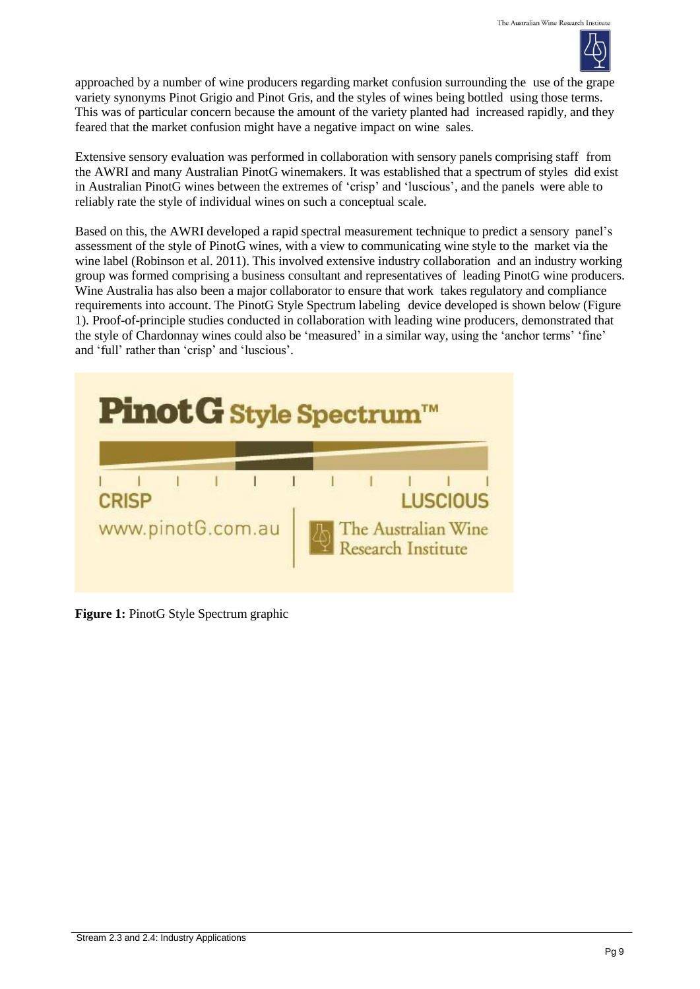

approached by a number of wine producers regarding market confusion surrounding the use of the grape variety synonyms Pinot Grigio and Pinot Gris, and the styles of wines being bottled using those terms. This was of particular concern because the amount of the variety planted had increased rapidly, and they feared that the market confusion might have a negative impact on wine sales.

Extensive sensory evaluation was performed in collaboration with sensory panels comprising staff from the AWRI and many Australian PinotG winemakers. It was established that a spectrum of styles did exist in Australian PinotG wines between the extremes of 'crisp' and 'luscious', and the panels were able to reliably rate the style of individual wines on such a conceptual scale.

Based on this, the AWRI developed a rapid spectral measurement technique to predict a sensory panel's assessment of the style of PinotG wines, with a view to communicating wine style to the market via the wine label (Robinson et al. 2011). This involved extensive industry collaboration and an industry working group was formed comprising a business consultant and representatives of leading PinotG wine producers. Wine Australia has also been a major collaborator to ensure that work takes regulatory and compliance requirements into account. The PinotG Style Spectrum labeling device developed is shown below (Figure 1). Proof-of-principle studies conducted in collaboration with leading wine producers, demonstrated that the style of Chardonnay wines could also be 'measured' in a similar way, using the 'anchor terms' 'fine' and 'full' rather than 'crisp' and 'luscious'.



**Figure 1:** PinotG Style Spectrum graphic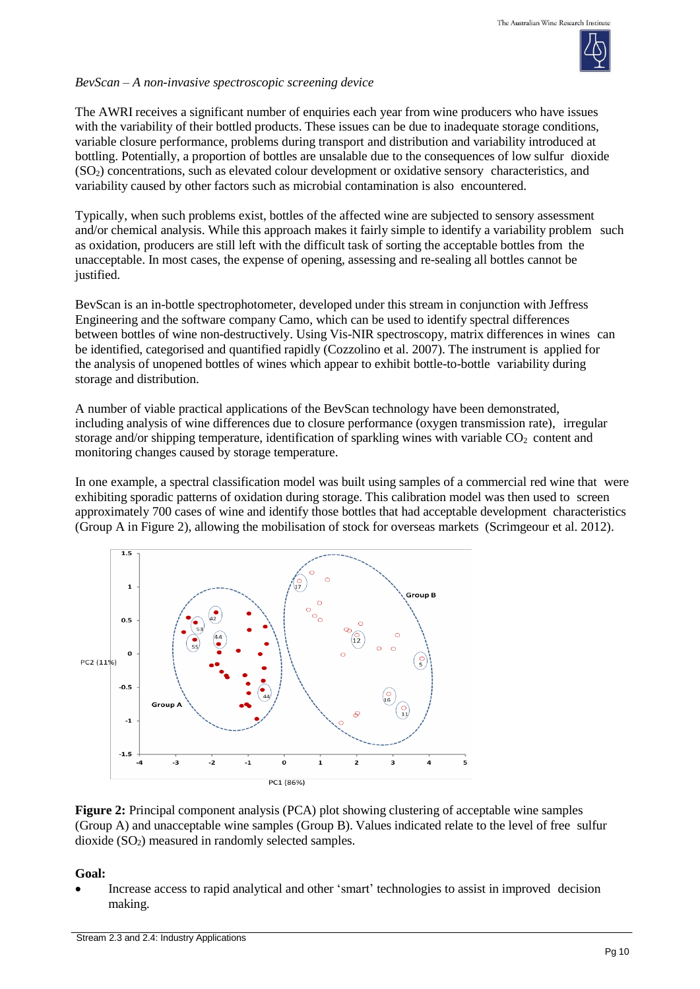

#### *BevScan – A non-invasive spectroscopic screening device*

The AWRI receives a significant number of enquiries each year from wine producers who have issues with the variability of their bottled products. These issues can be due to inadequate storage conditions, variable closure performance, problems during transport and distribution and variability introduced at bottling. Potentially, a proportion of bottles are unsalable due to the consequences of low sulfur dioxide (SO2) concentrations, such as elevated colour development or oxidative sensory characteristics, and variability caused by other factors such as microbial contamination is also encountered.

Typically, when such problems exist, bottles of the affected wine are subjected to sensory assessment and/or chemical analysis. While this approach makes it fairly simple to identify a variability problem such as oxidation, producers are still left with the difficult task of sorting the acceptable bottles from the unacceptable. In most cases, the expense of opening, assessing and re-sealing all bottles cannot be justified.

BevScan is an in-bottle spectrophotometer, developed under this stream in conjunction with Jeffress Engineering and the software company Camo, which can be used to identify spectral differences between bottles of wine non-destructively. Using Vis-NIR spectroscopy, matrix differences in wines can be identified, categorised and quantified rapidly (Cozzolino et al. 2007). The instrument is applied for the analysis of unopened bottles of wines which appear to exhibit bottle-to-bottle variability during storage and distribution.

A number of viable practical applications of the BevScan technology have been demonstrated, including analysis of wine differences due to closure performance (oxygen transmission rate), irregular storage and/or shipping temperature, identification of sparkling wines with variable  $CO<sub>2</sub>$  content and monitoring changes caused by storage temperature.

In one example, a spectral classification model was built using samples of a commercial red wine that were exhibiting sporadic patterns of oxidation during storage. This calibration model was then used to screen approximately 700 cases of wine and identify those bottles that had acceptable development characteristics (Group A in Figure 2), allowing the mobilisation of stock for overseas markets (Scrimgeour et al. 2012).



**Figure 2:** Principal component analysis (PCA) plot showing clustering of acceptable wine samples (Group A) and unacceptable wine samples (Group B). Values indicated relate to the level of free sulfur dioxide  $(SO<sub>2</sub>)$  measured in randomly selected samples.

**Goal:**

 Increase access to rapid analytical and other 'smart' technologies to assist in improved decision making.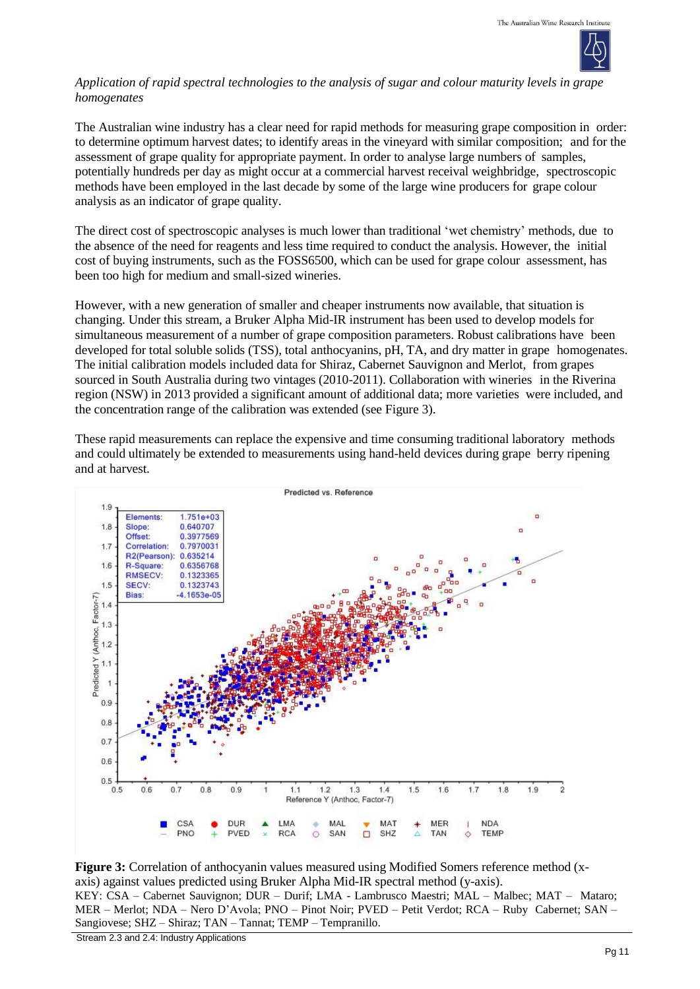

### *Application of rapid spectral technologies to the analysis of sugar and colour maturity levels in grape homogenates*

The Australian wine industry has a clear need for rapid methods for measuring grape composition in order: to determine optimum harvest dates; to identify areas in the vineyard with similar composition; and for the assessment of grape quality for appropriate payment. In order to analyse large numbers of samples, potentially hundreds per day as might occur at a commercial harvest receival weighbridge, spectroscopic methods have been employed in the last decade by some of the large wine producers for grape colour analysis as an indicator of grape quality.

The direct cost of spectroscopic analyses is much lower than traditional 'wet chemistry' methods, due to the absence of the need for reagents and less time required to conduct the analysis. However, the initial cost of buying instruments, such as the FOSS6500, which can be used for grape colour assessment, has been too high for medium and small-sized wineries.

However, with a new generation of smaller and cheaper instruments now available, that situation is changing. Under this stream, a Bruker Alpha Mid-IR instrument has been used to develop models for simultaneous measurement of a number of grape composition parameters. Robust calibrations have been developed for total soluble solids (TSS), total anthocyanins, pH, TA, and dry matter in grape homogenates. The initial calibration models included data for Shiraz, Cabernet Sauvignon and Merlot, from grapes sourced in South Australia during two vintages (2010-2011). Collaboration with wineries in the Riverina region (NSW) in 2013 provided a significant amount of additional data; more varieties were included, and the concentration range of the calibration was extended (see Figure 3).

These rapid measurements can replace the expensive and time consuming traditional laboratory methods and could ultimately be extended to measurements using hand-held devices during grape berry ripening and at harvest.



**Figure 3:** Correlation of anthocyanin values measured using Modified Somers reference method (xaxis) against values predicted using Bruker Alpha Mid-IR spectral method (y-axis). KEY: CSA – Cabernet Sauvignon; DUR – Durif; LMA - Lambrusco Maestri; MAL – Malbec; MAT – Mataro; MER – Merlot; NDA – Nero D'Avola; PNO – Pinot Noir; PVED – Petit Verdot; RCA – Ruby Cabernet; SAN – Sangiovese; SHZ – Shiraz; TAN – Tannat; TEMP – Tempranillo.

Stream 2.3 and 2.4: Industry Applications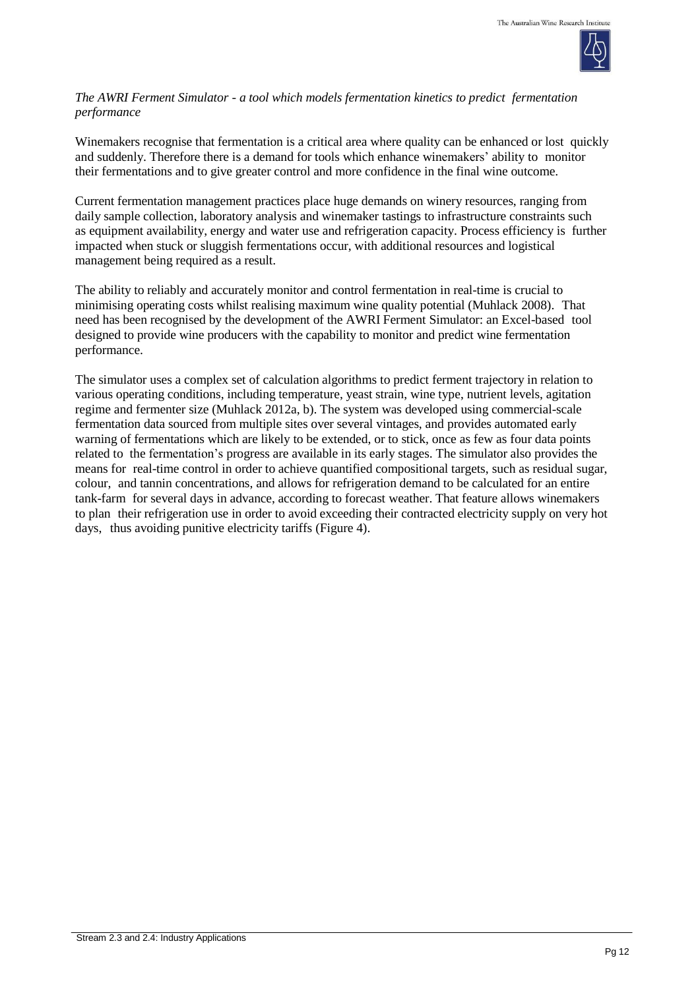

#### *The AWRI Ferment Simulator - a tool which models fermentation kinetics to predict fermentation performance*

Winemakers recognise that fermentation is a critical area where quality can be enhanced or lost quickly and suddenly. Therefore there is a demand for tools which enhance winemakers' ability to monitor their fermentations and to give greater control and more confidence in the final wine outcome.

Current fermentation management practices place huge demands on winery resources, ranging from daily sample collection, laboratory analysis and winemaker tastings to infrastructure constraints such as equipment availability, energy and water use and refrigeration capacity. Process efficiency is further impacted when stuck or sluggish fermentations occur, with additional resources and logistical management being required as a result.

The ability to reliably and accurately monitor and control fermentation in real-time is crucial to minimising operating costs whilst realising maximum wine quality potential (Muhlack 2008). That need has been recognised by the development of the AWRI Ferment Simulator: an Excel-based tool designed to provide wine producers with the capability to monitor and predict wine fermentation performance.

The simulator uses a complex set of calculation algorithms to predict ferment trajectory in relation to various operating conditions, including temperature, yeast strain, wine type, nutrient levels, agitation regime and fermenter size (Muhlack 2012a, b). The system was developed using commercial-scale fermentation data sourced from multiple sites over several vintages, and provides automated early warning of fermentations which are likely to be extended, or to stick, once as few as four data points related to the fermentation's progress are available in its early stages. The simulator also provides the means for real-time control in order to achieve quantified compositional targets, such as residual sugar, colour, and tannin concentrations, and allows for refrigeration demand to be calculated for an entire tank-farm for several days in advance, according to forecast weather. That feature allows winemakers to plan their refrigeration use in order to avoid exceeding their contracted electricity supply on very hot days, thus avoiding punitive electricity tariffs (Figure 4).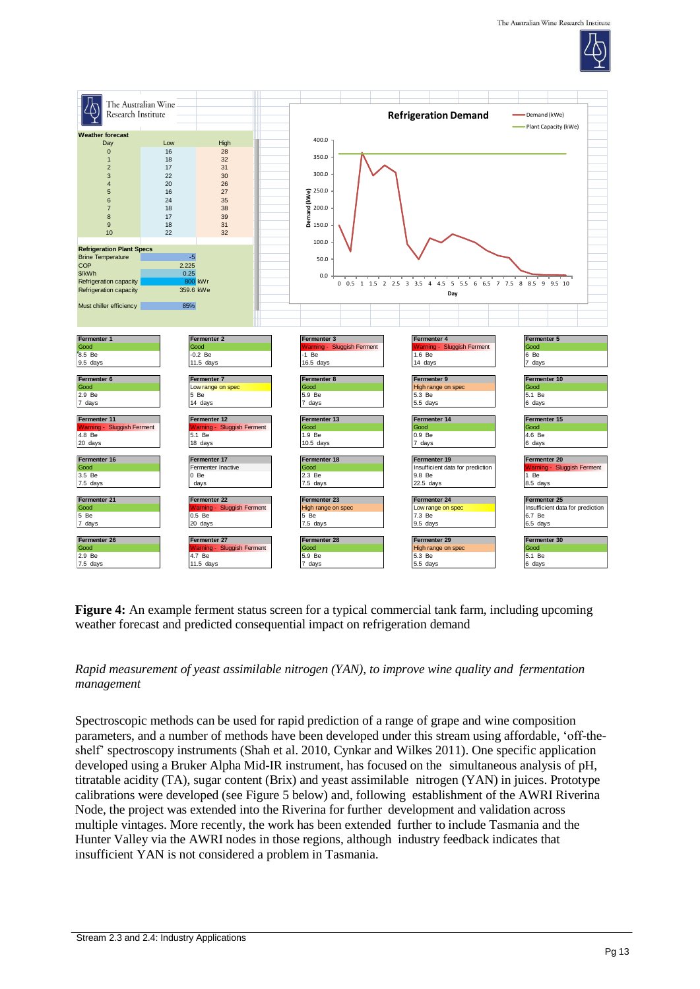



**Figure 4:** An example ferment status screen for a typical commercial tank farm, including upcoming weather forecast and predicted consequential impact on refrigeration demand

### *Rapid measurement of yeast assimilable nitrogen (YAN), to improve wine quality and fermentation management*

Spectroscopic methods can be used for rapid prediction of a range of grape and wine composition parameters, and a number of methods have been developed under this stream using affordable, 'off-theshelf' spectroscopy instruments (Shah et al. 2010, Cynkar and Wilkes 2011). One specific application developed using a Bruker Alpha Mid-IR instrument, has focused on the simultaneous analysis of pH, titratable acidity (TA), sugar content (Brix) and yeast assimilable nitrogen (YAN) in juices. Prototype calibrations were developed (see Figure 5 below) and, following establishment of the AWRI Riverina Node, the project was extended into the Riverina for further development and validation across multiple vintages. More recently, the work has been extended further to include Tasmania and the Hunter Valley via the AWRI nodes in those regions, although industry feedback indicates that insufficient YAN is not considered a problem in Tasmania.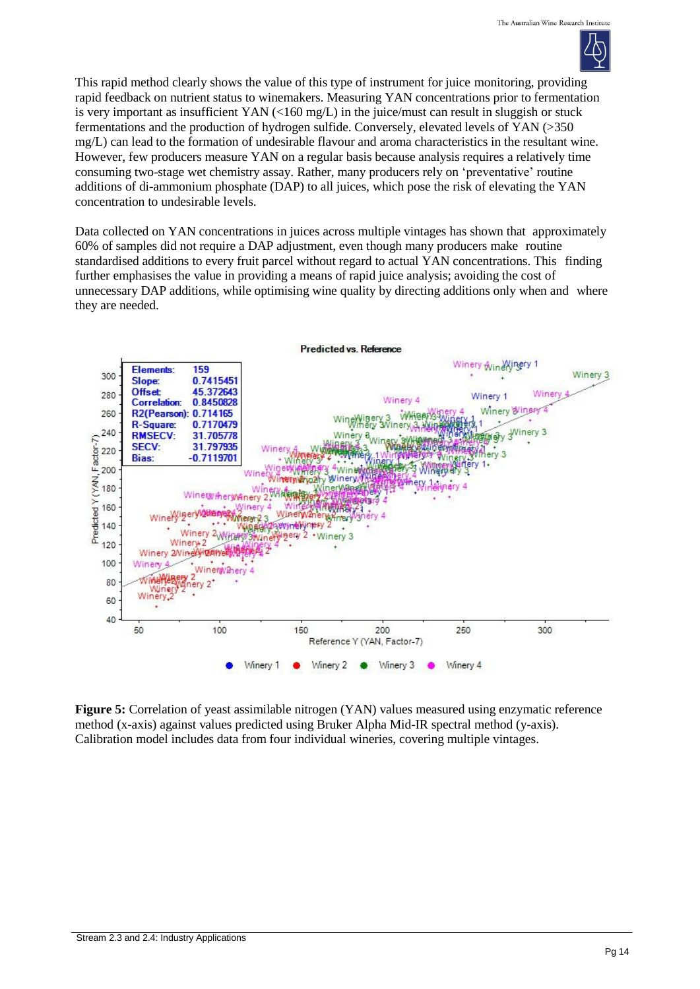

This rapid method clearly shows the value of this type of instrument for juice monitoring, providing rapid feedback on nutrient status to winemakers. Measuring YAN concentrations prior to fermentation is very important as insufficient YAN  $\ll 160$  mg/L) in the juice/must can result in sluggish or stuck fermentations and the production of hydrogen sulfide. Conversely, elevated levels of YAN (>350 mg/L) can lead to the formation of undesirable flavour and aroma characteristics in the resultant wine. However, few producers measure YAN on a regular basis because analysis requires a relatively time consuming two-stage wet chemistry assay. Rather, many producers rely on 'preventative' routine additions of di-ammonium phosphate (DAP) to all juices, which pose the risk of elevating the YAN concentration to undesirable levels.

Data collected on YAN concentrations in juices across multiple vintages has shown that approximately 60% of samples did not require a DAP adjustment, even though many producers make routine standardised additions to every fruit parcel without regard to actual YAN concentrations. This finding further emphasises the value in providing a means of rapid juice analysis; avoiding the cost of unnecessary DAP additions, while optimising wine quality by directing additions only when and where they are needed.



**Figure 5:** Correlation of yeast assimilable nitrogen (YAN) values measured using enzymatic reference method (x-axis) against values predicted using Bruker Alpha Mid-IR spectral method (y-axis). Calibration model includes data from four individual wineries, covering multiple vintages.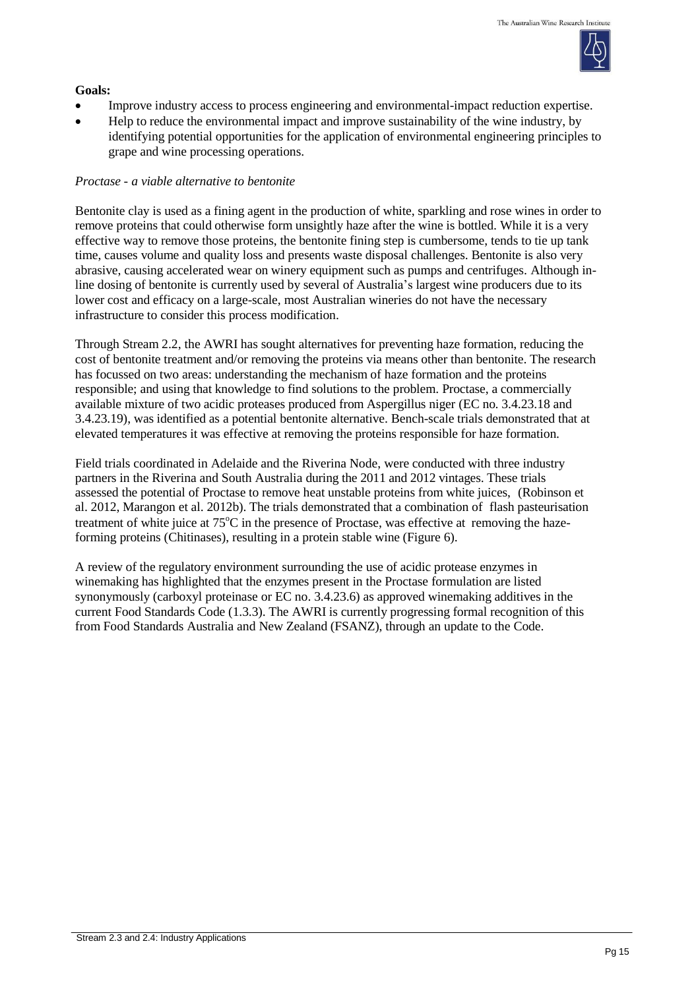

#### **Goals:**

- Improve industry access to process engineering and environmental-impact reduction expertise.
- Help to reduce the environmental impact and improve sustainability of the wine industry, by identifying potential opportunities for the application of environmental engineering principles to grape and wine processing operations.

### *Proctase - a viable alternative to bentonite*

Bentonite clay is used as a fining agent in the production of white, sparkling and rose wines in order to remove proteins that could otherwise form unsightly haze after the wine is bottled. While it is a very effective way to remove those proteins, the bentonite fining step is cumbersome, tends to tie up tank time, causes volume and quality loss and presents waste disposal challenges. Bentonite is also very abrasive, causing accelerated wear on winery equipment such as pumps and centrifuges. Although inline dosing of bentonite is currently used by several of Australia's largest wine producers due to its lower cost and efficacy on a large-scale, most Australian wineries do not have the necessary infrastructure to consider this process modification.

Through Stream 2.2, the AWRI has sought alternatives for preventing haze formation, reducing the cost of bentonite treatment and/or removing the proteins via means other than bentonite. The research has focussed on two areas: understanding the mechanism of haze formation and the proteins responsible; and using that knowledge to find solutions to the problem. Proctase, a commercially available mixture of two acidic proteases produced from Aspergillus niger (EC no. 3.4.23.18 and 3.4.23.19), was identified as a potential bentonite alternative. Bench-scale trials demonstrated that at elevated temperatures it was effective at removing the proteins responsible for haze formation.

Field trials coordinated in Adelaide and the Riverina Node, were conducted with three industry partners in the Riverina and South Australia during the 2011 and 2012 vintages. These trials assessed the potential of Proctase to remove heat unstable proteins from white juices, (Robinson et al. 2012, Marangon et al. 2012b). The trials demonstrated that a combination of flash pasteurisation treatment of white juice at  $75^{\circ}$ C in the presence of Proctase, was effective at removing the hazeforming proteins (Chitinases), resulting in a protein stable wine (Figure 6).

A review of the regulatory environment surrounding the use of acidic protease enzymes in winemaking has highlighted that the enzymes present in the Proctase formulation are listed synonymously (carboxyl proteinase or EC no. 3.4.23.6) as approved winemaking additives in the current Food Standards Code (1.3.3). The AWRI is currently progressing formal recognition of this from Food Standards Australia and New Zealand (FSANZ), through an update to the Code.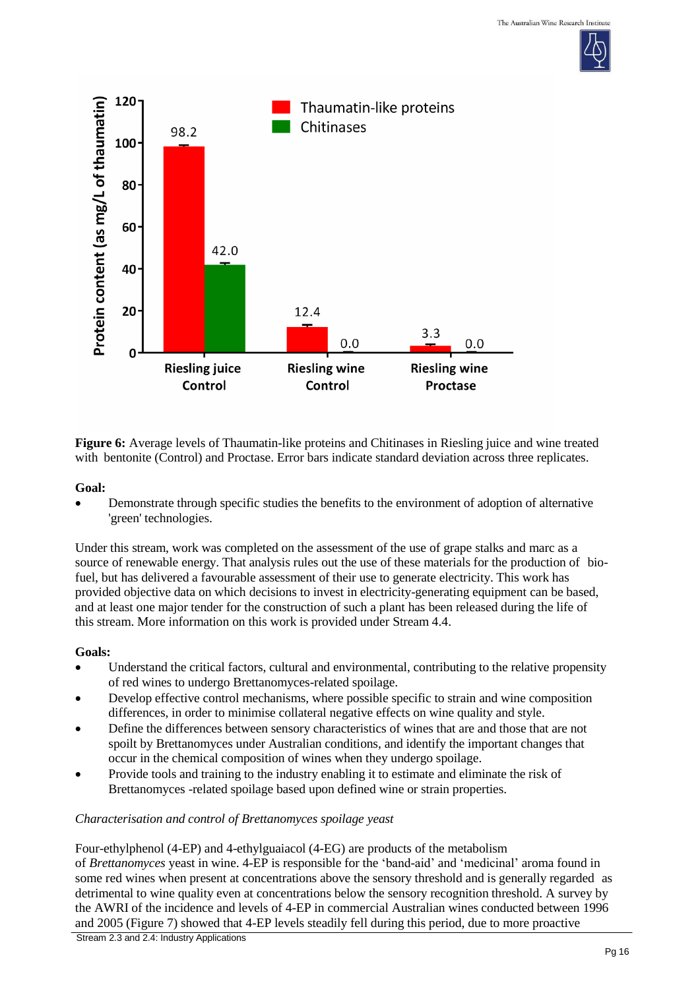



**Figure 6:** Average levels of Thaumatin-like proteins and Chitinases in Riesling juice and wine treated with bentonite (Control) and Proctase. Error bars indicate standard deviation across three replicates.

### **Goal:**

 Demonstrate through specific studies the benefits to the environment of adoption of alternative 'green' technologies.

Under this stream, work was completed on the assessment of the use of grape stalks and marc as a source of renewable energy. That analysis rules out the use of these materials for the production of biofuel, but has delivered a favourable assessment of their use to generate electricity. This work has provided objective data on which decisions to invest in electricity-generating equipment can be based, and at least one major tender for the construction of such a plant has been released during the life of this stream. More information on this work is provided under Stream 4.4.

## **Goals:**

- Understand the critical factors, cultural and environmental, contributing to the relative propensity of red wines to undergo Brettanomyces-related spoilage.
- Develop effective control mechanisms, where possible specific to strain and wine composition differences, in order to minimise collateral negative effects on wine quality and style.
- Define the differences between sensory characteristics of wines that are and those that are not spoilt by Brettanomyces under Australian conditions, and identify the important changes that occur in the chemical composition of wines when they undergo spoilage.
- Provide tools and training to the industry enabling it to estimate and eliminate the risk of Brettanomyces -related spoilage based upon defined wine or strain properties.

## *Characterisation and control of Brettanomyces spoilage yeast*

Four-ethylphenol (4-EP) and 4-ethylguaiacol (4-EG) are products of the metabolism of *Brettanomyces* yeast in wine. 4-EP is responsible for the 'band-aid' and 'medicinal' aroma found in some red wines when present at concentrations above the sensory threshold and is generally regarded as detrimental to wine quality even at concentrations below the sensory recognition threshold. A survey by the AWRI of the incidence and levels of 4-EP in commercial Australian wines conducted between 1996 and 2005 (Figure 7) showed that 4-EP levels steadily fell during this period, due to more proactive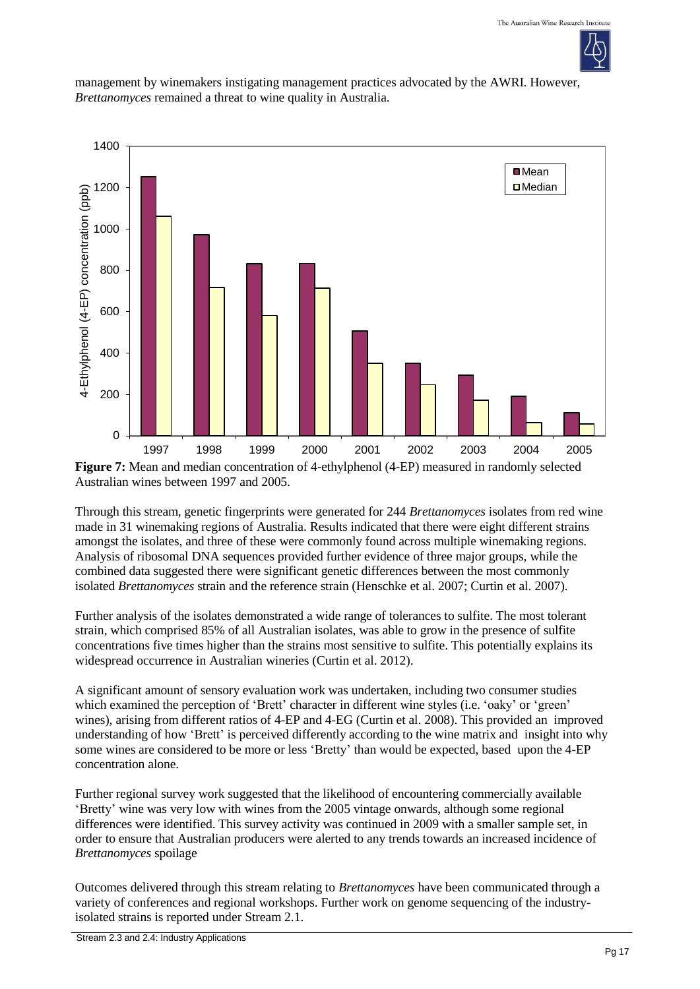

management by winemakers instigating management practices advocated by the AWRI. However, *Brettanomyces* remained a threat to wine quality in Australia.



**Figure 7:** Mean and median concentration of 4-ethylphenol (4-EP) measured in randomly selected Australian wines between 1997 and 2005.

Through this stream, genetic fingerprints were generated for 244 *Brettanomyces* isolates from red wine made in 31 winemaking regions of Australia. Results indicated that there were eight different strains amongst the isolates, and three of these were commonly found across multiple winemaking regions. Analysis of ribosomal DNA sequences provided further evidence of three major groups, while the combined data suggested there were significant genetic differences between the most commonly isolated *Brettanomyces* strain and the reference strain (Henschke et al. 2007; Curtin et al. 2007).

Further analysis of the isolates demonstrated a wide range of tolerances to sulfite. The most tolerant strain, which comprised 85% of all Australian isolates, was able to grow in the presence of sulfite concentrations five times higher than the strains most sensitive to sulfite. This potentially explains its widespread occurrence in Australian wineries (Curtin et al. 2012).

A significant amount of sensory evaluation work was undertaken, including two consumer studies which examined the perception of 'Brett' character in different wine styles (i.e. 'oaky' or 'green' wines), arising from different ratios of 4-EP and 4-EG (Curtin et al. 2008). This provided an improved understanding of how 'Brett' is perceived differently according to the wine matrix and insight into why some wines are considered to be more or less 'Bretty' than would be expected, based upon the 4-EP concentration alone.

Further regional survey work suggested that the likelihood of encountering commercially available 'Bretty' wine was very low with wines from the 2005 vintage onwards, although some regional differences were identified. This survey activity was continued in 2009 with a smaller sample set, in order to ensure that Australian producers were alerted to any trends towards an increased incidence of *Brettanomyces* spoilage

Outcomes delivered through this stream relating to *Brettanomyces* have been communicated through a variety of conferences and regional workshops. Further work on genome sequencing of the industryisolated strains is reported under Stream 2.1.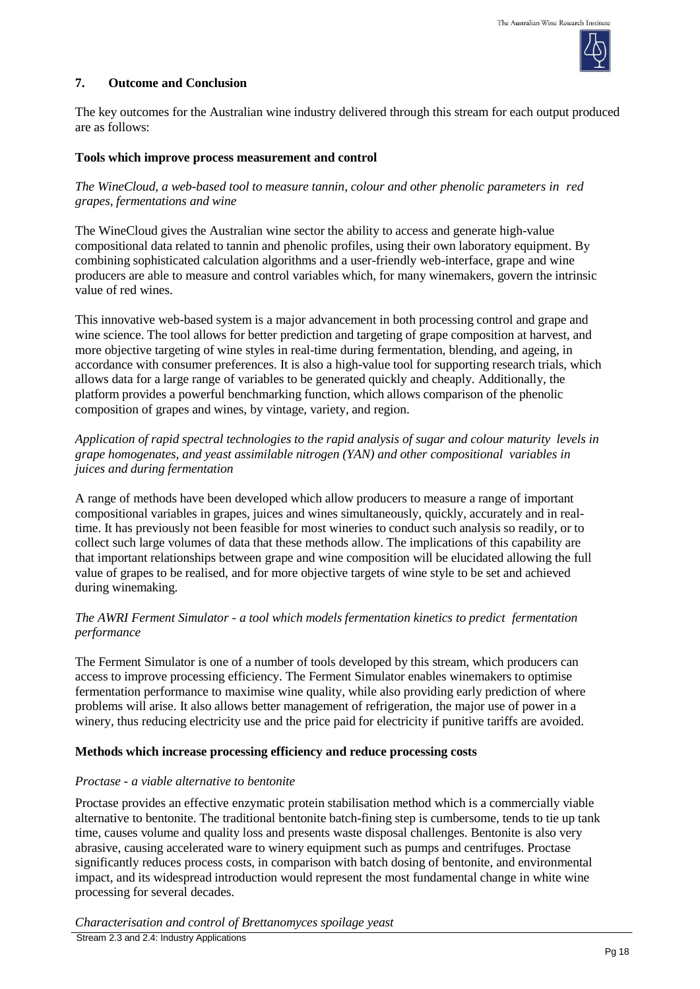

#### **7. Outcome and Conclusion**

The key outcomes for the Australian wine industry delivered through this stream for each output produced are as follows:

#### **Tools which improve process measurement and control**

### *The WineCloud, a web-based tool to measure tannin, colour and other phenolic parameters in red grapes, fermentations and wine*

The WineCloud gives the Australian wine sector the ability to access and generate high-value compositional data related to tannin and phenolic profiles, using their own laboratory equipment. By combining sophisticated calculation algorithms and a user-friendly web-interface, grape and wine producers are able to measure and control variables which, for many winemakers, govern the intrinsic value of red wines.

This innovative web-based system is a major advancement in both processing control and grape and wine science. The tool allows for better prediction and targeting of grape composition at harvest, and more objective targeting of wine styles in real-time during fermentation, blending, and ageing, in accordance with consumer preferences. It is also a high-value tool for supporting research trials, which allows data for a large range of variables to be generated quickly and cheaply. Additionally, the platform provides a powerful benchmarking function, which allows comparison of the phenolic composition of grapes and wines, by vintage, variety, and region.

#### *Application of rapid spectral technologies to the rapid analysis of sugar and colour maturity levels in grape homogenates, and yeast assimilable nitrogen (YAN) and other compositional variables in juices and during fermentation*

A range of methods have been developed which allow producers to measure a range of important compositional variables in grapes, juices and wines simultaneously, quickly, accurately and in realtime. It has previously not been feasible for most wineries to conduct such analysis so readily, or to collect such large volumes of data that these methods allow. The implications of this capability are that important relationships between grape and wine composition will be elucidated allowing the full value of grapes to be realised, and for more objective targets of wine style to be set and achieved during winemaking.

### *The AWRI Ferment Simulator - a tool which models fermentation kinetics to predict fermentation performance*

The Ferment Simulator is one of a number of tools developed by this stream, which producers can access to improve processing efficiency. The Ferment Simulator enables winemakers to optimise fermentation performance to maximise wine quality, while also providing early prediction of where problems will arise. It also allows better management of refrigeration, the major use of power in a winery, thus reducing electricity use and the price paid for electricity if punitive tariffs are avoided.

#### **Methods which increase processing efficiency and reduce processing costs**

#### *Proctase - a viable alternative to bentonite*

Proctase provides an effective enzymatic protein stabilisation method which is a commercially viable alternative to bentonite. The traditional bentonite batch-fining step is cumbersome, tends to tie up tank time, causes volume and quality loss and presents waste disposal challenges. Bentonite is also very abrasive, causing accelerated ware to winery equipment such as pumps and centrifuges. Proctase significantly reduces process costs, in comparison with batch dosing of bentonite, and environmental impact, and its widespread introduction would represent the most fundamental change in white wine processing for several decades.

*Characterisation and control of Brettanomyces spoilage yeast*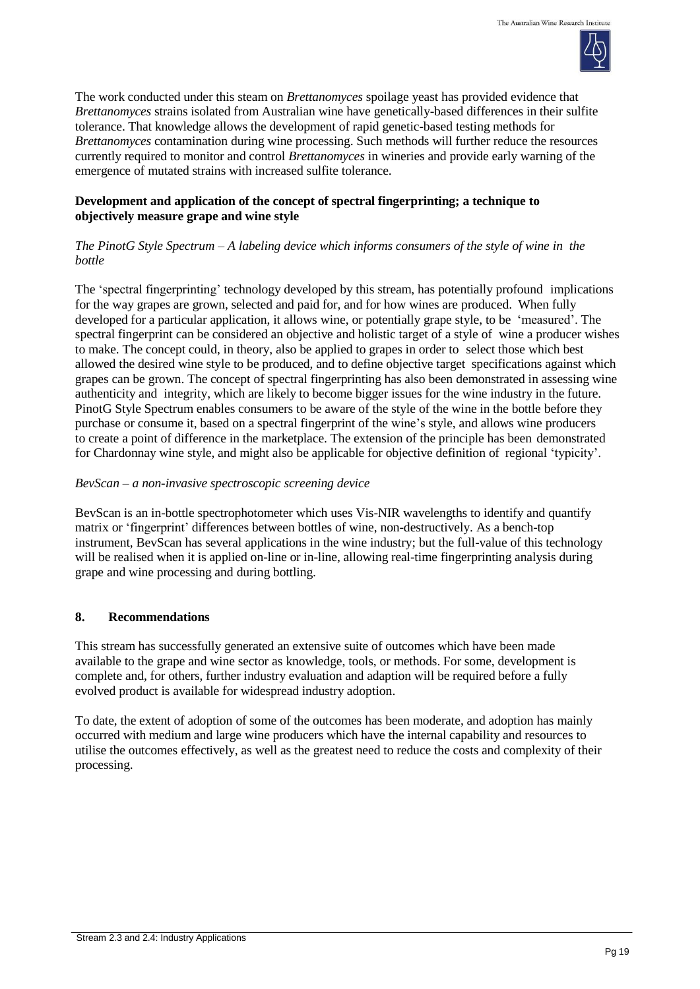

The work conducted under this steam on *Brettanomyces* spoilage yeast has provided evidence that *Brettanomyces* strains isolated from Australian wine have genetically-based differences in their sulfite tolerance. That knowledge allows the development of rapid genetic-based testing methods for *Brettanomyces* contamination during wine processing. Such methods will further reduce the resources currently required to monitor and control *Brettanomyces* in wineries and provide early warning of the emergence of mutated strains with increased sulfite tolerance.

## **Development and application of the concept of spectral fingerprinting; a technique to objectively measure grape and wine style**

## *The PinotG Style Spectrum – A labeling device which informs consumers of the style of wine in the bottle*

The 'spectral fingerprinting' technology developed by this stream, has potentially profound implications for the way grapes are grown, selected and paid for, and for how wines are produced. When fully developed for a particular application, it allows wine, or potentially grape style, to be 'measured'. The spectral fingerprint can be considered an objective and holistic target of a style of wine a producer wishes to make. The concept could, in theory, also be applied to grapes in order to select those which best allowed the desired wine style to be produced, and to define objective target specifications against which grapes can be grown. The concept of spectral fingerprinting has also been demonstrated in assessing wine authenticity and integrity, which are likely to become bigger issues for the wine industry in the future. PinotG Style Spectrum enables consumers to be aware of the style of the wine in the bottle before they purchase or consume it, based on a spectral fingerprint of the wine's style, and allows wine producers to create a point of difference in the marketplace. The extension of the principle has been demonstrated for Chardonnay wine style, and might also be applicable for objective definition of regional 'typicity'.

## *BevScan – a non-invasive spectroscopic screening device*

BevScan is an in-bottle spectrophotometer which uses Vis-NIR wavelengths to identify and quantify matrix or 'fingerprint' differences between bottles of wine, non-destructively. As a bench-top instrument, BevScan has several applications in the wine industry; but the full-value of this technology will be realised when it is applied on-line or in-line, allowing real-time fingerprinting analysis during grape and wine processing and during bottling.

# **8. Recommendations**

This stream has successfully generated an extensive suite of outcomes which have been made available to the grape and wine sector as knowledge, tools, or methods. For some, development is complete and, for others, further industry evaluation and adaption will be required before a fully evolved product is available for widespread industry adoption.

To date, the extent of adoption of some of the outcomes has been moderate, and adoption has mainly occurred with medium and large wine producers which have the internal capability and resources to utilise the outcomes effectively, as well as the greatest need to reduce the costs and complexity of their processing.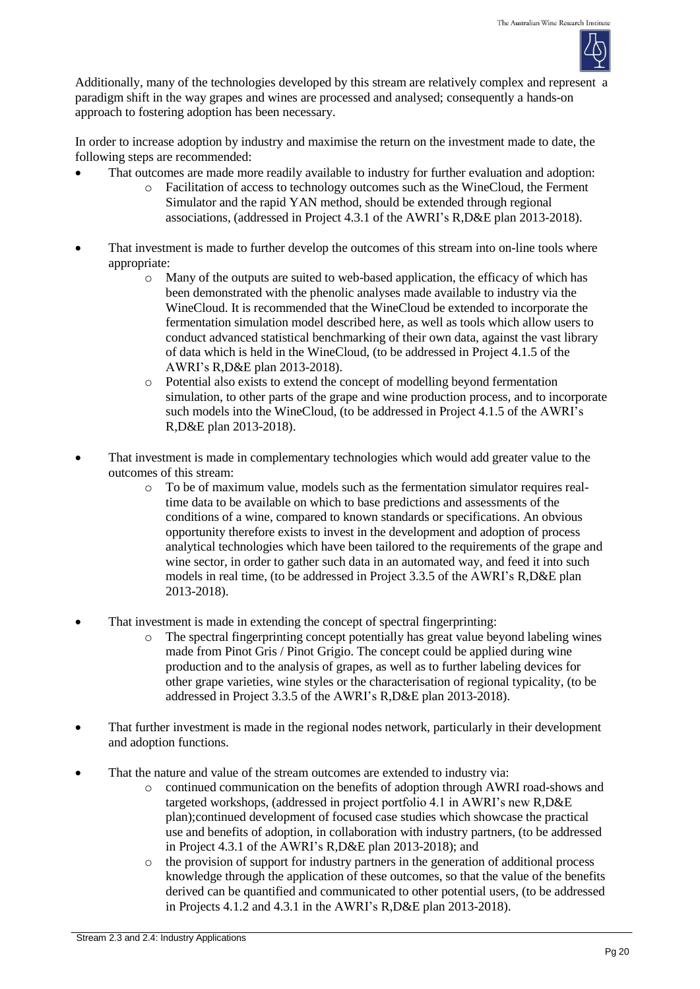

Additionally, many of the technologies developed by this stream are relatively complex and represent a paradigm shift in the way grapes and wines are processed and analysed; consequently a hands-on approach to fostering adoption has been necessary.

In order to increase adoption by industry and maximise the return on the investment made to date, the following steps are recommended:

- That outcomes are made more readily available to industry for further evaluation and adoption:
	- o Facilitation of access to technology outcomes such as the WineCloud, the Ferment Simulator and the rapid YAN method, should be extended through regional associations, (addressed in Project 4.3.1 of the AWRI's R,D&E plan 2013-2018).
- That investment is made to further develop the outcomes of this stream into on-line tools where appropriate:
	- o Many of the outputs are suited to web-based application, the efficacy of which has been demonstrated with the phenolic analyses made available to industry via the WineCloud. It is recommended that the WineCloud be extended to incorporate the fermentation simulation model described here, as well as tools which allow users to conduct advanced statistical benchmarking of their own data, against the vast library of data which is held in the WineCloud, (to be addressed in Project 4.1.5 of the AWRI's R,D&E plan 2013-2018).
	- o Potential also exists to extend the concept of modelling beyond fermentation simulation, to other parts of the grape and wine production process, and to incorporate such models into the WineCloud, (to be addressed in Project 4.1.5 of the AWRI's R,D&E plan 2013-2018).
- That investment is made in complementary technologies which would add greater value to the outcomes of this stream:
	- o To be of maximum value, models such as the fermentation simulator requires realtime data to be available on which to base predictions and assessments of the conditions of a wine, compared to known standards or specifications. An obvious opportunity therefore exists to invest in the development and adoption of process analytical technologies which have been tailored to the requirements of the grape and wine sector, in order to gather such data in an automated way, and feed it into such models in real time, (to be addressed in Project 3.3.5 of the AWRI's R,D&E plan 2013-2018).
- That investment is made in extending the concept of spectral fingerprinting:
	- o The spectral fingerprinting concept potentially has great value beyond labeling wines made from Pinot Gris / Pinot Grigio. The concept could be applied during wine production and to the analysis of grapes, as well as to further labeling devices for other grape varieties, wine styles or the characterisation of regional typicality, (to be addressed in Project 3.3.5 of the AWRI's R,D&E plan 2013-2018).
- That further investment is made in the regional nodes network, particularly in their development and adoption functions.
- That the nature and value of the stream outcomes are extended to industry via:
	- o continued communication on the benefits of adoption through AWRI road-shows and targeted workshops, (addressed in project portfolio 4.1 in AWRI's new R,D&E plan);continued development of focused case studies which showcase the practical use and benefits of adoption, in collaboration with industry partners, (to be addressed in Project 4.3.1 of the AWRI's R,D&E plan 2013-2018); and
	- o the provision of support for industry partners in the generation of additional process knowledge through the application of these outcomes, so that the value of the benefits derived can be quantified and communicated to other potential users, (to be addressed in Projects 4.1.2 and 4.3.1 in the AWRI's R,D&E plan 2013-2018).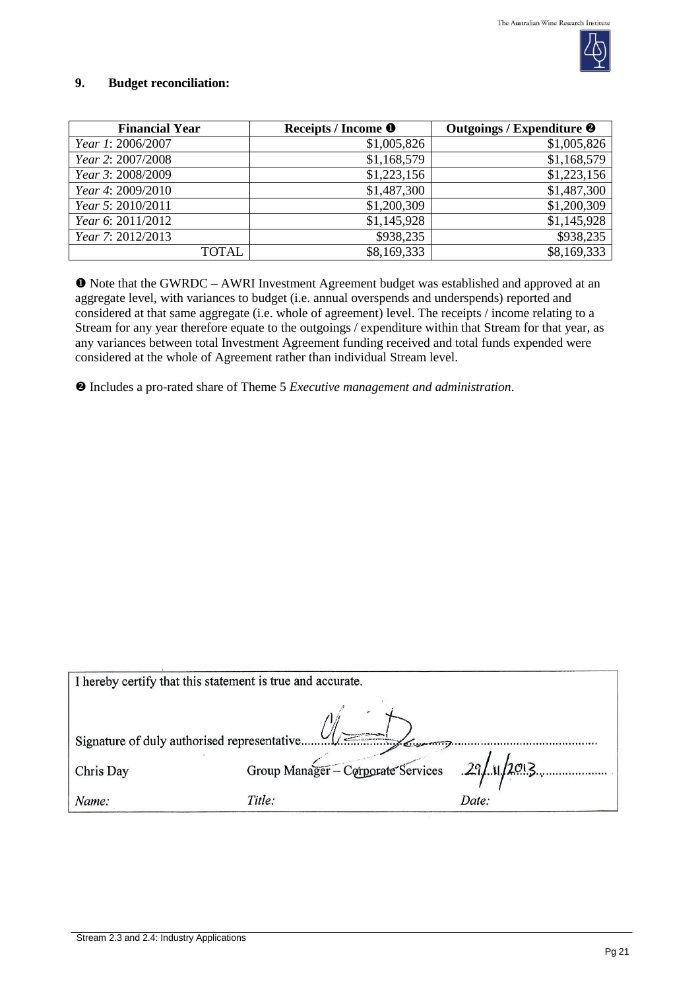

#### **9. Budget reconciliation:**

| <b>Financial Year</b> | Receipts / Income <sup>O</sup> | Outgoings / Expenditure <sup>@</sup> |
|-----------------------|--------------------------------|--------------------------------------|
| Year 1: 2006/2007     | \$1,005,826                    | \$1,005,826                          |
| Year 2: 2007/2008     | \$1,168,579                    | \$1,168,579                          |
| Year 3: 2008/2009     | \$1,223,156                    | \$1,223,156                          |
| Year 4: 2009/2010     | \$1,487,300                    | \$1,487,300                          |
| Year 5: 2010/2011     | \$1,200,309                    | \$1,200,309                          |
| Year 6: 2011/2012     | \$1,145,928                    | \$1,145,928                          |
| Year 7: 2012/2013     | \$938,235                      | \$938,235                            |
| TOTAL                 | \$8,169,333                    | \$8,169,333                          |

 Note that the GWRDC – AWRI Investment Agreement budget was established and approved at an aggregate level, with variances to budget (i.e. annual overspends and underspends) reported and considered at that same aggregate (i.e. whole of agreement) level. The receipts / income relating to a Stream for any year therefore equate to the outgoings / expenditure within that Stream for that year, as any variances between total Investment Agreement funding received and total funds expended were considered at the whole of Agreement rather than individual Stream level.

Includes a pro-rated share of Theme 5 *Executive management and administration*.

| I hereby certify that this statement is true and accurate. |                                                |       |  |  |
|------------------------------------------------------------|------------------------------------------------|-------|--|--|
| Signature of duly authorised representative                |                                                |       |  |  |
| Chris Day                                                  | Group Manager - Corporate Services 29/11/2013. |       |  |  |
| Name:                                                      | Title:                                         | Date: |  |  |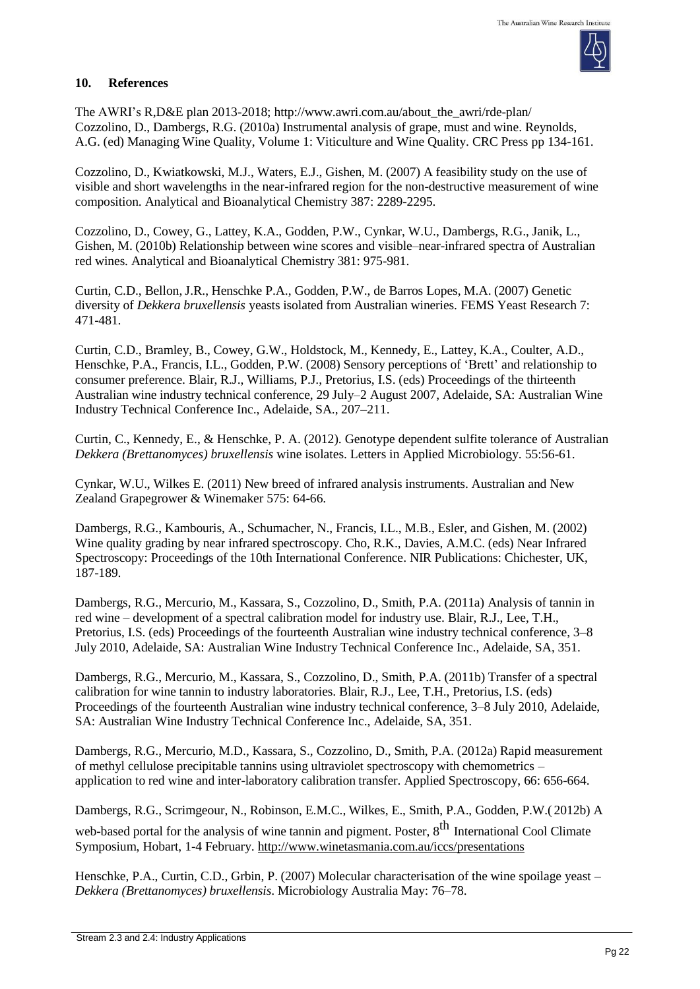

## **10. References**

The AWRI's R,D&E plan 2013-2018; [http://www.awri.com.au/about\\_the\\_awri/rde-plan/](http://www.awri.com.au/about_the_awri/rde-plan/) Cozzolino, D., Dambergs, R.G. (2010a) Instrumental analysis of grape, must and wine. Reynolds, A.G. (ed) Managing Wine Quality, Volume 1: Viticulture and Wine Quality. CRC Press pp 134-161.

Cozzolino, D., Kwiatkowski, M.J., Waters, E.J., Gishen, M. (2007) A feasibility study on the use of visible and short wavelengths in the near-infrared region for the non-destructive measurement of wine composition. Analytical and Bioanalytical Chemistry 387: 2289-2295.

Cozzolino, D., Cowey, G., Lattey, K.A., Godden, P.W., Cynkar, W.U., Dambergs, R.G., Janik, L., Gishen, M. (2010b) Relationship between wine scores and visible–near-infrared spectra of Australian red wines. Analytical and Bioanalytical Chemistry 381: 975-981.

Curtin, C.D., Bellon, J.R., Henschke P.A., Godden, P.W., de Barros Lopes, M.A. (2007) Genetic diversity of *Dekkera bruxellensis* yeasts isolated from Australian wineries. FEMS Yeast Research 7: 471-481.

Curtin, C.D., Bramley, B., Cowey, G.W., Holdstock, M., Kennedy, E., Lattey, K.A., Coulter, A.D., Henschke, P.A., Francis, I.L., Godden, P.W. (2008) Sensory perceptions of 'Brett' and relationship to consumer preference. Blair, R.J., Williams, P.J., Pretorius, I.S. (eds) Proceedings of the thirteenth Australian wine industry technical conference, 29 July–2 August 2007, Adelaide, SA: Australian Wine Industry Technical Conference Inc., Adelaide, SA., 207–211.

Curtin, C., Kennedy, E., & Henschke, P. A. (2012). Genotype dependent sulfite tolerance of Australian *Dekkera (Brettanomyces) bruxellensis* wine isolates. Letters in Applied Microbiology. 55:56-61.

Cynkar, W.U., Wilkes E. (2011) New breed of infrared analysis instruments. Australian and New Zealand Grapegrower & Winemaker 575: 64-66.

Dambergs, R.G., Kambouris, A., Schumacher, N., Francis, I.L., M.B., Esler, and Gishen, M. (2002) Wine quality grading by near infrared spectroscopy. Cho, R.K., Davies, A.M.C. (eds) Near Infrared Spectroscopy: Proceedings of the 10th International Conference. NIR Publications: Chichester, UK, 187-189.

Dambergs, R.G., Mercurio, M., Kassara, S., Cozzolino, D., Smith, P.A. (2011a) Analysis of tannin in red wine – development of a spectral calibration model for industry use. Blair, R.J., Lee, T.H., Pretorius, I.S. (eds) Proceedings of the fourteenth Australian wine industry technical conference, 3–8 July 2010, Adelaide, SA: Australian Wine Industry Technical Conference Inc., Adelaide, SA, 351.

Dambergs, R.G., Mercurio, M., Kassara, S., Cozzolino, D., Smith, P.A. (2011b) Transfer of a spectral calibration for wine tannin to industry laboratories. Blair, R.J., Lee, T.H., Pretorius, I.S. (eds) Proceedings of the fourteenth Australian wine industry technical conference, 3–8 July 2010, Adelaide, SA: Australian Wine Industry Technical Conference Inc., Adelaide, SA, 351.

Dambergs, R.G., Mercurio, M.D., Kassara, S., Cozzolino, D., Smith, P.A. (2012a) Rapid measurement of methyl cellulose precipitable tannins using ultraviolet spectroscopy with chemometrics – application to red wine and inter-laboratory calibration transfer. Applied Spectroscopy, 66: 656-664.

Dambergs, R.G., Scrimgeour, N., Robinson, E.M.C., Wilkes, E., Smith, P.A., Godden, P.W.( 2012b) A

web-based portal for the analysis of wine tannin and pigment. Poster, 8<sup>th</sup> International Cool Climate Symposium, Hobart, 1-4 February. <http://www.winetasmania.com.au/iccs/presentations>

Henschke, P.A., Curtin, C.D., Grbin, P. (2007) Molecular characterisation of the wine spoilage yeast – *Dekkera (Brettanomyces) bruxellensis*. Microbiology Australia May: 76–78.